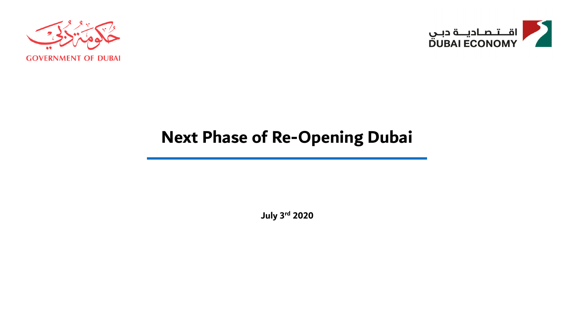



# **Next Phase of Re-Opening Dubai**

**July 3 rd 2020**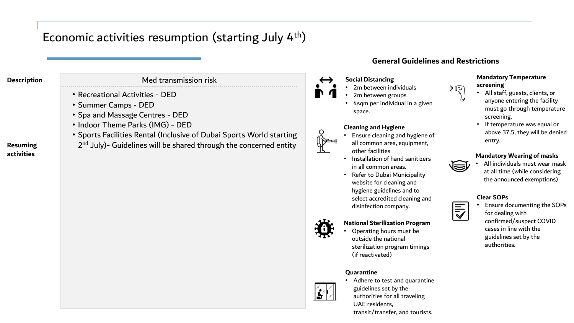### Economic activities resumption (starting July 4<sup>th</sup>)

### **Description** Med transmission risk

- Recreational Activities DED
- Summer Camps DED
- Spa and Massage Centres DED
- Indoor Theme Parks (IMG) DED
- Sports Facilities Rental (Inclusive of Dubai Sports World starting
- 2<sup>nd</sup> July)- Guidelines will be shared through the concerned entity

### **General Guidelines and Restrictions**

### **Social Distancing**

- 2m between individuals
- 2m between groups
- 4sqm per individual in a given space.

#### **Cleaning and Hygiene**

- Ensure cleaning and hygiene of all common area, equipment, other facilities
- Installation of hand sanitizers in all common areas.
- Refer to Dubai Municipality website for cleaning and hygiene guidelines and to select accredited cleaning and disinfection company.

### **National Sterilization Program**

• Operating hours must be outside the national sterilization program timings (if reactivated)

#### **Quarantine**



 $\circ$ 

• Adhere to test and quarantine guidelines set by the authorities for all traveling UAE residents, transit/transfer, and tourists.

#### **Mandatory Temperature screening**

- All staff, guests, clients, or anyone entering the facility must go through temperature screening.
- If temperature was equal or above 37.5, they will be denied entry.

#### **Mandatory Wearing of masks**

• All individuals must wear mask at all time (while considering the announced exemptions)

#### **Clear SOPs**

NII)

• Ensure documenting the SOPs for dealing with confirmed/suspect COVID cases in line with the guidelines set by the authorities.

### **Resuming activities**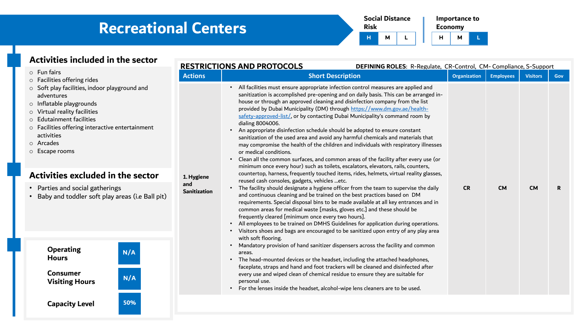| <b>Risk</b> | <b>Social Distance</b> |  |  | <b>Economy</b> | Importance to |  |
|-------------|------------------------|--|--|----------------|---------------|--|
| н           | м                      |  |  | н              | м             |  |

| н | ≡conomy |  |
|---|---------|--|
|   |         |  |

| Activities included in the sector                                                                                                                                                                                                                         |                            | <b>RESTRICTIONS AND PROTOCOLS</b><br>DEFINING ROLES: R-Regulate, CR-Control, CM- Compliance, S-Support                                                                                                                                                                                                                                                                                                                                                                                                                                                                                                                                                                                                                                                                                                                                                                                                       |              |                  |                 |     |
|-----------------------------------------------------------------------------------------------------------------------------------------------------------------------------------------------------------------------------------------------------------|----------------------------|--------------------------------------------------------------------------------------------------------------------------------------------------------------------------------------------------------------------------------------------------------------------------------------------------------------------------------------------------------------------------------------------------------------------------------------------------------------------------------------------------------------------------------------------------------------------------------------------------------------------------------------------------------------------------------------------------------------------------------------------------------------------------------------------------------------------------------------------------------------------------------------------------------------|--------------|------------------|-----------------|-----|
| $\circ$ Fun fairs<br>o Facilities offering rides                                                                                                                                                                                                          | <b>Actions</b>             | <b>Short Description</b>                                                                                                                                                                                                                                                                                                                                                                                                                                                                                                                                                                                                                                                                                                                                                                                                                                                                                     | Organization | <b>Employees</b> | <b>Visitors</b> | Gov |
| $\circ$ Soft play facilities, indoor playground and<br>adventures<br>o Inflatable playgrounds<br>o Virtual reality facilities<br>o Edutainment facilities<br>o Facilities offering interactive entertainment<br>activities<br>o Arcades<br>o Escape rooms |                            | • All facilities must ensure appropriate infection control measures are applied and<br>sanitization is accomplished pre-opening and on daily basis. This can be arranged in-<br>house or through an approved cleaning and disinfection company from the list<br>provided by Dubai Municipality (DM) through https://www.dm.gov.ae/health-<br>safety-approved-list/, or by contacting Dubai Municipality's command room by<br>dialing 8004006.<br>An appropriate disinfection schedule should be adopted to ensure constant<br>sanitization of the used area and avoid any harmful chemicals and materials that<br>may compromise the health of the children and individuals with respiratory illnesses<br>or medical conditions.<br>Clean all the common surfaces, and common areas of the facility after every use (or<br>minimum once every hour) such as toilets, escalators, elevators, rails, counters, |              |                  |                 |     |
| Activities excluded in the sector                                                                                                                                                                                                                         | 1. Hygiene                 | countertop, harness, frequently touched items, rides, helmets, virtual reality glasses,                                                                                                                                                                                                                                                                                                                                                                                                                                                                                                                                                                                                                                                                                                                                                                                                                      |              |                  |                 |     |
| • Parties and social gatherings<br>Baby and toddler soft play areas (i.e Ball pit)                                                                                                                                                                        | and<br><b>Sanitization</b> | reused cash consoles, gadgets, vehicles etc.<br>• The facility should designate a hygiene officer from the team to supervise the daily<br>and continuous cleaning and be trained on the best practices based on DM<br>requirements. Special disposal bins to be made available at all key entrances and in<br>common areas for medical waste [masks, gloves etc.] and these should be<br>frequently cleared [minimum once every two hours].<br>All employees to be trained on DMHS Guidelines for application during operations.<br>• Visitors shoes and bags are encouraged to be sanitized upon entry of any play area                                                                                                                                                                                                                                                                                     | <b>CR</b>    | <b>CM</b>        | <b>CM</b>       | R.  |
| <b>Operating</b><br>N/A<br><b>Hours</b><br><b>Consumer</b><br>N/A                                                                                                                                                                                         |                            | with soft flooring.<br>Mandatory provision of hand sanitizer dispensers across the facility and common<br>areas.<br>• The head-mounted devices or the headset, including the attached headphones,<br>faceplate, straps and hand and foot trackers will be cleaned and disinfected after<br>every use and wiped clean of chemical residue to ensure they are suitable for                                                                                                                                                                                                                                                                                                                                                                                                                                                                                                                                     |              |                  |                 |     |
| <b>Visiting Hours</b>                                                                                                                                                                                                                                     |                            | personal use.<br>• For the lenses inside the headset, alcohol-wipe lens cleaners are to be used.                                                                                                                                                                                                                                                                                                                                                                                                                                                                                                                                                                                                                                                                                                                                                                                                             |              |                  |                 |     |
| 50%<br><b>Capacity Level</b>                                                                                                                                                                                                                              |                            |                                                                                                                                                                                                                                                                                                                                                                                                                                                                                                                                                                                                                                                                                                                                                                                                                                                                                                              |              |                  |                 |     |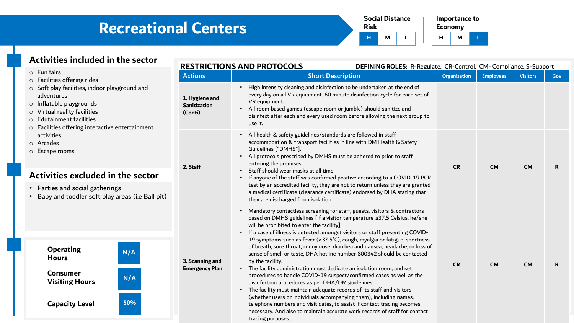| <b>Risk</b> | <b>Social Distance</b> |  |  | <b>Economy</b> | Importance to |  |
|-------------|------------------------|--|--|----------------|---------------|--|
| н           | м                      |  |  | н              | м             |  |

| ◡ | LUIIUIIIV |  |
|---|-----------|--|
|   |           |  |

| Activities included in the sector                                                                                                                                                                                    |                                                  | <b>RESTRICTIONS AND PROTOCOLS</b><br>DEFINING ROLES: R-Regulate, CR-Control, CM-Compliance, S-Support                                                                                                                                                                                                                                                                                                                                                                                                                                                                                                                                                                                                                                                                                                                                                                                                                                                                                                                                                                                            |                     |                  |                 |              |
|----------------------------------------------------------------------------------------------------------------------------------------------------------------------------------------------------------------------|--------------------------------------------------|--------------------------------------------------------------------------------------------------------------------------------------------------------------------------------------------------------------------------------------------------------------------------------------------------------------------------------------------------------------------------------------------------------------------------------------------------------------------------------------------------------------------------------------------------------------------------------------------------------------------------------------------------------------------------------------------------------------------------------------------------------------------------------------------------------------------------------------------------------------------------------------------------------------------------------------------------------------------------------------------------------------------------------------------------------------------------------------------------|---------------------|------------------|-----------------|--------------|
| $\circ$ Fun fairs<br>o Facilities offering rides                                                                                                                                                                     | <b>Actions</b>                                   | <b>Short Description</b>                                                                                                                                                                                                                                                                                                                                                                                                                                                                                                                                                                                                                                                                                                                                                                                                                                                                                                                                                                                                                                                                         | <b>Organization</b> | <b>Employees</b> | <b>Visitors</b> | <b>Gov</b>   |
| o Soft play facilities, indoor playground and<br>adventures<br>o Inflatable playgrounds<br>Virtual reality facilities<br><b>Edutainment facilities</b><br>$\circ$<br>o Facilities offering interactive entertainment | 1. Hygiene and<br><b>Sanitization</b><br>(Conti) | High intensity cleaning and disinfection to be undertaken at the end of<br>every day on all VR equipment. 60 minute disinfection cycle for each set of<br>VR equipment.<br>• All room based games (escape room or jumble) should sanitize and<br>disinfect after each and every used room before allowing the next group to<br>use it.                                                                                                                                                                                                                                                                                                                                                                                                                                                                                                                                                                                                                                                                                                                                                           |                     |                  |                 |              |
| activities<br>o Arcades<br>o Escape rooms<br>Activities excluded in the sector<br>• Parties and social gatherings<br>Baby and toddler soft play areas (i.e Ball pit)                                                 | 2. Staff                                         | All health & safety guidelines/standards are followed in staff<br>$\bullet$<br>accommodation & transport facilities in line with DM Health & Safety<br>Guidelines ["DMHS"].<br>All protocols prescribed by DMHS must be adhered to prior to staff<br>entering the premises.<br>Staff should wear masks at all time.<br>If anyone of the staff was confirmed positive according to a COVID-19 PCR<br>test by an accredited facility, they are not to return unless they are granted<br>a medical certificate (clearance certificate) endorsed by DHA stating that<br>they are discharged from isolation.                                                                                                                                                                                                                                                                                                                                                                                                                                                                                          | <b>CR</b>           | <b>CM</b>        | <b>CM</b>       | $\mathbf{R}$ |
| <b>Operating</b><br>N/A<br><b>Hours</b><br><b>Consumer</b><br>N/A<br><b>Visiting Hours</b><br>50%<br><b>Capacity Level</b>                                                                                           | 3. Scanning and<br><b>Emergency Plan</b>         | Mandatory contactless screening for staff, guests, visitors & contractors<br>based on DMHS guidelines [If a visitor temperature ≥37.5 Celsius, he/she<br>will be prohibited to enter the facility].<br>If a case of illness is detected amongst visitors or staff presenting COVID-<br>19 symptoms such as fever (≥37.5°C), cough, myalgia or fatigue, shortness<br>of breath, sore throat, runny nose, diarrhea and nausea, headache, or loss of<br>sense of smell or taste, DHA hotline number 800342 should be contacted<br>by the facility.<br>• The facility administration must dedicate an isolation room, and set<br>procedures to handle COVID-19 suspect/confirmed cases as well as the<br>disinfection procedures as per DHA/DM guidelines.<br>The facility must maintain adequate records of its staff and visitors<br>$\bullet$<br>(whether users or individuals accompanying them), including names,<br>telephone numbers and visit dates, to assist if contact tracing becomes<br>necessary. And also to maintain accurate work records of staff for contact<br>tracing purposes. | <b>CR</b>           | <b>CM</b>        | <b>CM</b>       | R.           |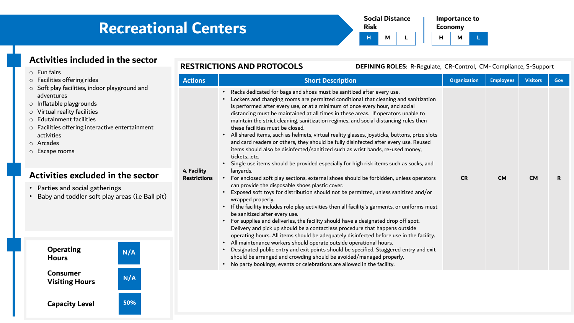

| Activities included in the sector                                                                                                                                                                                                                                                                                         |                | <b>RESTRICTIONS AND PROTOCOLS</b><br>DEFINING ROLES: R-Regulate, CR-Control, CM-Compliance, S-Support                                                                                                                                                                                                                                                                                                                                                                                                                                                                                                                                                                                                                                                                                                                                                                          |              |                  |                 |     |
|---------------------------------------------------------------------------------------------------------------------------------------------------------------------------------------------------------------------------------------------------------------------------------------------------------------------------|----------------|--------------------------------------------------------------------------------------------------------------------------------------------------------------------------------------------------------------------------------------------------------------------------------------------------------------------------------------------------------------------------------------------------------------------------------------------------------------------------------------------------------------------------------------------------------------------------------------------------------------------------------------------------------------------------------------------------------------------------------------------------------------------------------------------------------------------------------------------------------------------------------|--------------|------------------|-----------------|-----|
| $\circ$ Fun fairs<br>$\circ$ Facilities offering rides<br>$\circ$ Soft play facilities, indoor playground and<br>adventures<br>$\circ$ Inflatable playgrounds<br>o Virtual reality facilities<br>○ Edutainment facilities<br>o Facilities offering interactive entertainment<br>activities<br>o Arcades<br>o Escape rooms | <b>Actions</b> | <b>Short Description</b><br>Racks dedicated for bags and shoes must be sanitized after every use.<br>Lockers and changing rooms are permitted conditional that cleaning and sanitization<br>is performed after every use, or at a minimum of once every hour, and social<br>distancing must be maintained at all times in these areas. If operators unable to<br>maintain the strict cleaning, sanitization regimes, and social distancing rules then<br>these facilities must be closed.<br>• All shared items, such as helmets, virtual reality glasses, joysticks, buttons, prize slots<br>and card readers or others, they should be fully disinfected after every use. Reused<br>items should also be disinfected/sanitized such as wrist bands, re-used money,<br>ticketsetc.<br>• Single use items should be provided especially for high risk items such as socks, and | Organization | <b>Employees</b> | <b>Visitors</b> | Gov |
| 4. Facility<br>Activities excluded in the sector<br><b>Restrictions</b><br>• Parties and social gatherings<br>• Baby and toddler soft play areas (i.e Ball pit)                                                                                                                                                           |                | lanyards.<br>For enclosed soft play sections, external shoes should be forbidden, unless operators<br>can provide the disposable shoes plastic cover.<br>Exposed soft toys for distribution should not be permitted, unless sanitized and/or<br>wrapped properly.<br>• If the facility includes role play activities then all facility's garments, or uniforms must<br>be sanitized after every use.<br>• For supplies and deliveries, the facility should have a designated drop off spot.<br>Delivery and pick up should be a contactless procedure that happens outside                                                                                                                                                                                                                                                                                                     | <b>CR</b>    | <b>CM</b>        | <b>CM</b>       | R   |
| <b>Operating</b><br>N/A<br><b>Hours</b>                                                                                                                                                                                                                                                                                   |                | operating hours. All items should be adequately disinfected before use in the facility.<br>• All maintenance workers should operate outside operational hours.<br>Designated public entry and exit points should be specified. Staggered entry and exit<br>should be arranged and crowding should be avoided/managed properly.<br>• No party bookings, events or celebrations are allowed in the facility.                                                                                                                                                                                                                                                                                                                                                                                                                                                                     |              |                  |                 |     |

**Capacity Level 50%**

**Visiting Hours N/A**

**Consumer**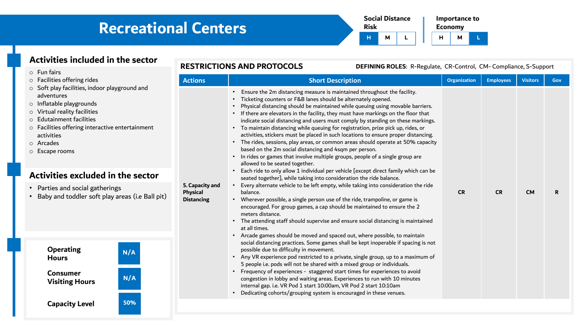

| Activities included in the sector                                                                                                                                                                                                                                                                                                                                                                                                                                                                                                                                                           |     |                 | <b>RESTRICTIONS AND PROTOCOLS</b><br>DEFINING ROLES: R-Regulate, CR-Control, CM-Compliance, S-Support                                                                                                                                                                                                                                                                                                                                                                                                                                                                                                                                                                                                                                                                                                                                                    |                     |                  |                 |            |
|---------------------------------------------------------------------------------------------------------------------------------------------------------------------------------------------------------------------------------------------------------------------------------------------------------------------------------------------------------------------------------------------------------------------------------------------------------------------------------------------------------------------------------------------------------------------------------------------|-----|-----------------|----------------------------------------------------------------------------------------------------------------------------------------------------------------------------------------------------------------------------------------------------------------------------------------------------------------------------------------------------------------------------------------------------------------------------------------------------------------------------------------------------------------------------------------------------------------------------------------------------------------------------------------------------------------------------------------------------------------------------------------------------------------------------------------------------------------------------------------------------------|---------------------|------------------|-----------------|------------|
| $\circ$ Fun fairs<br>o Facilities offering rides<br><b>Actions</b><br>○ Soft play facilities, indoor playground and<br>adventures<br>o Inflatable playgrounds<br>O Virtual reality facilities<br>o Edutainment facilities<br>○ Facilities offering interactive entertainment<br>activities<br>o Arcades<br>$\circ$ Escape rooms<br>Activities excluded in the sector<br>• Parties and social gatherings<br>Physical<br>• Baby and toddler soft play areas (i.e Ball pit)<br><b>Distancing</b><br><b>Operating</b><br>N/A<br><b>Hours</b><br><b>Consumer</b><br>N/A<br><b>Visiting Hours</b> |     |                 | <b>Short Description</b>                                                                                                                                                                                                                                                                                                                                                                                                                                                                                                                                                                                                                                                                                                                                                                                                                                 | <b>Organization</b> | <b>Employees</b> | <b>Visitors</b> | <b>Gov</b> |
|                                                                                                                                                                                                                                                                                                                                                                                                                                                                                                                                                                                             |     |                 | • Ensure the 2m distancing measure is maintained throughout the facility.<br>• Ticketing counters or F&B lanes should be alternately opened.<br>• Physical distancing should be maintained while queuing using movable barriers.<br>• If there are elevators in the facility, they must have markings on the floor that<br>indicate social distancing and users must comply by standing on these markings.<br>• To maintain distancing while queuing for registration, prize pick up, rides, or<br>activities, stickers must be placed in such locations to ensure proper distancing.<br>• The rides, sessions, play areas, or common areas should operate at 50% capacity<br>based on the 2m social distancing and 4sqm per person.<br>• In rides or games that involve multiple groups, people of a single group are<br>allowed to be seated together. |                     |                  |                 |            |
|                                                                                                                                                                                                                                                                                                                                                                                                                                                                                                                                                                                             |     |                 | • Each ride to only allow 1 individual per vehicle [except direct family which can be<br>seated together], while taking into consideration the ride balance.                                                                                                                                                                                                                                                                                                                                                                                                                                                                                                                                                                                                                                                                                             |                     |                  |                 |            |
|                                                                                                                                                                                                                                                                                                                                                                                                                                                                                                                                                                                             |     | 5. Capacity and | • Every alternate vehicle to be left empty, while taking into consideration the ride<br>balance.<br>• Wherever possible, a single person use of the ride, trampoline, or game is<br>encouraged. For group games, a cap should be maintained to ensure the 2<br>meters distance.<br>• The attending staff should supervise and ensure social distancing is maintained<br>at all times.<br>• Arcade games should be moved and spaced out, where possible, to maintain                                                                                                                                                                                                                                                                                                                                                                                      | <b>CR</b>           | <b>CR</b>        | <b>CM</b>       | R.         |
|                                                                                                                                                                                                                                                                                                                                                                                                                                                                                                                                                                                             |     |                 | social distancing practices. Some games shall be kept inoperable if spacing is not<br>possible due to difficulty in movement.<br>• Any VR experience pod restricted to a private, single group, up to a maximum of<br>5 people i.e. pods will not be shared with a mixed group or individuals.                                                                                                                                                                                                                                                                                                                                                                                                                                                                                                                                                           |                     |                  |                 |            |
|                                                                                                                                                                                                                                                                                                                                                                                                                                                                                                                                                                                             |     |                 | • Frequency of experiences - staggered start times for experiences to avoid<br>congestion in lobby and waiting areas. Experiences to run with 10 minutes<br>internal gap. i.e. VR Pod 1 start 10:00am, VR Pod 2 start 10:10am<br>• Dedicating cohorts/grouping system is encouraged in these venues.                                                                                                                                                                                                                                                                                                                                                                                                                                                                                                                                                     |                     |                  |                 |            |
| <b>Capacity Level</b>                                                                                                                                                                                                                                                                                                                                                                                                                                                                                                                                                                       | 50% |                 |                                                                                                                                                                                                                                                                                                                                                                                                                                                                                                                                                                                                                                                                                                                                                                                                                                                          |                     |                  |                 |            |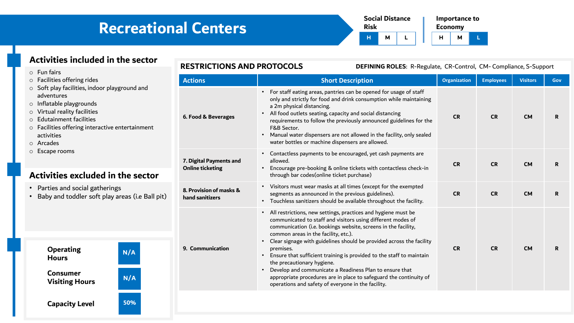

| <b>Activities included in the sector</b>                                                                                                                                                                                                                  | <b>RESTRICTIONS AND PROTOCOLS</b>                  | DEFINING ROLES: R-Regulate, CR-Control, CM-Compliance, S-Support                                                                                                                                                                                                                                                                                                                                                                                                                                                                                                                                                             |                     |                  |                 |             |
|-----------------------------------------------------------------------------------------------------------------------------------------------------------------------------------------------------------------------------------------------------------|----------------------------------------------------|------------------------------------------------------------------------------------------------------------------------------------------------------------------------------------------------------------------------------------------------------------------------------------------------------------------------------------------------------------------------------------------------------------------------------------------------------------------------------------------------------------------------------------------------------------------------------------------------------------------------------|---------------------|------------------|-----------------|-------------|
| $\circ$ Fun fairs<br>$\circ$ Facilities offering rides                                                                                                                                                                                                    | <b>Actions</b>                                     | <b>Short Description</b>                                                                                                                                                                                                                                                                                                                                                                                                                                                                                                                                                                                                     | <b>Organization</b> | <b>Employees</b> | <b>Visitors</b> | <b>Gov</b>  |
| $\circ$ Soft play facilities, indoor playground and<br>adventures<br>$\circ$ Inflatable playgrounds<br>$\circ$ Virtual reality facilities<br>$\circ$ Edutainment facilities<br>o Facilities offering interactive entertainment<br>activities<br>o Arcades | 6. Food & Beverages                                | • For staff eating areas, pantries can be opened for usage of staff<br>only and strictly for food and drink consumption while maintaining<br>a 2m physical distancing.<br>• All food outlets seating, capacity and social distancing<br>requirements to follow the previously announced guidelines for the<br>F&B Sector.<br>Manual water dispensers are not allowed in the facility, only sealed<br>water bottles or machine dispensers are allowed.                                                                                                                                                                        | <b>CR</b>           | <b>CR</b>        | <b>CM</b>       | $\mathbf R$ |
| O Escape rooms<br>Activities excluded in the sector                                                                                                                                                                                                       | 7. Digital Payments and<br><b>Online ticketing</b> | • Contactless payments to be encouraged, yet cash payments are<br>allowed.<br>Encourage pre-booking & online tickets with contactless check-in<br>through bar codes(online ticket purchase)                                                                                                                                                                                                                                                                                                                                                                                                                                  | <b>CR</b>           | <b>CR</b>        | <b>CM</b>       | R.          |
| Parties and social gatherings<br>Baby and toddler soft play areas (i.e Ball pit)                                                                                                                                                                          | 8. Provision of masks &<br>hand sanitizers         | • Visitors must wear masks at all times (except for the exempted<br>segments as announced in the previous guidelines).<br>• Touchless sanitizers should be available throughout the facility.                                                                                                                                                                                                                                                                                                                                                                                                                                | <b>CR</b>           | <b>CR</b>        | <b>CM</b>       | R.          |
| <b>Operating</b><br>N/A<br><b>Hours</b><br><b>Consumer</b><br>N/A<br><b>Visiting Hours</b>                                                                                                                                                                | 9. Communication                                   | • All restrictions, new settings, practices and hygiene must be<br>communicated to staff and visitors using different modes of<br>communication (i.e. bookings website, screens in the facility,<br>common areas in the facility, etc.).<br>• Clear signage with guidelines should be provided across the facility<br>premises.<br>Ensure that sufficient training is provided to the staff to maintain<br>the precautionary hygiene.<br>Develop and communicate a Readiness Plan to ensure that<br>appropriate procedures are in place to safeguard the continuity of<br>operations and safety of everyone in the facility. | <b>CR</b>           | <b>CR</b>        | <b>CM</b>       | R.          |

**Capacity Level 50%**

 $\circ$ 

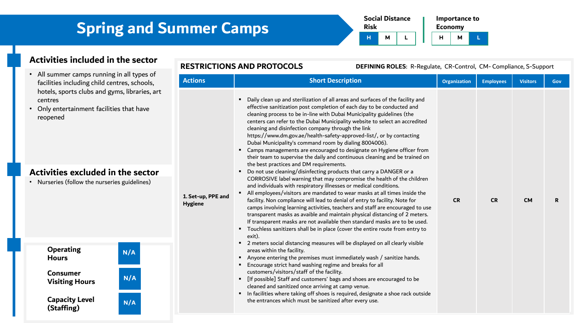**Social Distance Risk Importance to Economy H M L H M L**

### **Activities included in the sector**

- All summer camps running in all types of facilities including child centres, schools, hotels, sports clubs and gyms, libraries, art centres
- Only entertainment facilities that have reopened

### **Activities excluded in the sector**

• Nurseries (follow the nurseries guidelines)

**Visiting Hours N/A**

**N/A**

**N/A**

**Capacity Level (Staffing)**

**Operating Hours**

**Consumer** 

|                                      | <b>RESTRICTIONS AND PROTOCOLS</b><br>DEFINING ROLES: R-Regulate, CR-Control, CM-Compliance, S-Support                                                                                                                                                                                                                                                                                                                                                                                                                                                                                                                                                                                                                                                                                                                                                                                                                                                                                                                                                                                                                                                                                                                                                                                                                                                                                                                                                                                                                                                                                                                                                                                                                                                                                                                                                                                                                                                                                                                                                      |                     |                  |                 |             |
|--------------------------------------|------------------------------------------------------------------------------------------------------------------------------------------------------------------------------------------------------------------------------------------------------------------------------------------------------------------------------------------------------------------------------------------------------------------------------------------------------------------------------------------------------------------------------------------------------------------------------------------------------------------------------------------------------------------------------------------------------------------------------------------------------------------------------------------------------------------------------------------------------------------------------------------------------------------------------------------------------------------------------------------------------------------------------------------------------------------------------------------------------------------------------------------------------------------------------------------------------------------------------------------------------------------------------------------------------------------------------------------------------------------------------------------------------------------------------------------------------------------------------------------------------------------------------------------------------------------------------------------------------------------------------------------------------------------------------------------------------------------------------------------------------------------------------------------------------------------------------------------------------------------------------------------------------------------------------------------------------------------------------------------------------------------------------------------------------------|---------------------|------------------|-----------------|-------------|
| <b>Actions</b>                       | <b>Short Description</b>                                                                                                                                                                                                                                                                                                                                                                                                                                                                                                                                                                                                                                                                                                                                                                                                                                                                                                                                                                                                                                                                                                                                                                                                                                                                                                                                                                                                                                                                                                                                                                                                                                                                                                                                                                                                                                                                                                                                                                                                                                   | <b>Organization</b> | <b>Employees</b> | <b>Visitors</b> | Gov         |
| 1. Set-up, PPE and<br><b>Hygiene</b> | Daily clean up and sterilization of all areas and surfaces of the facility and<br>٠<br>effective sanitization post completion of each day to be conducted and<br>cleaning process to be in-line with Dubai Municipality guidelines (the<br>centers can refer to the Dubai Municipality website to select an accredited<br>cleaning and disinfection company through the link<br>https://www.dm.gov.ae/health-safety-approved-list/, or by contacting<br>Dubai Municipality's command room by dialing 8004006).<br>Camps managements are encouraged to designate on Hygiene officer from<br>٠<br>their team to supervise the daily and continuous cleaning and be trained on<br>the best practices and DM requirements.<br>Do not use cleaning/disinfecting products that carry a DANGER or a<br>CORROSIVE label warning that may compromise the health of the children<br>and individuals with respiratory illnesses or medical conditions.<br>All employees/visitors are mandated to wear masks at all times inside the<br>facility. Non compliance will lead to denial of entry to facility. Note for<br>camps involving learning activities, teachers and staff are encouraged to use<br>transparent masks as avaible and maintain physical distancing of 2 meters.<br>If transparent masks are not available then standard masks are to be used.<br>Touchless sanitizers shall be in place (cover the entire route from entry to<br>٠<br>exit).<br>2 meters social distancing measures will be displayed on all clearly visible<br>$\blacksquare$<br>areas within the facility.<br>Anyone entering the premises must immediately wash / sanitize hands.<br>٠<br>Encourage strict hand washing regime and breaks for all<br>٠<br>customers/visitors/staff of the facility.<br>[If possible] Staff and customers' bags and shoes are encouraged to be<br>cleaned and sanitized once arriving at camp venue.<br>In facilities where taking off shoes is required, designate a shoe rack outside<br>the entrances which must be sanitized after every use. | <b>CR</b>           | <b>CR</b>        | <b>CM</b>       | $\mathbf R$ |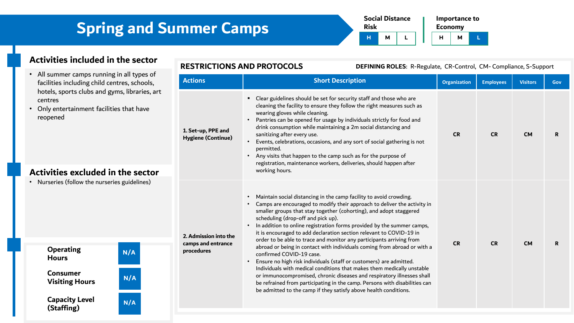**Social Distance Risk Importance to Economy H M L H M L**

### **Activities included in the sector**

- All summer camps running in all types of facilities including child centres, school hotels, sports clubs and gyms, libraries centres
- Only entertainment facilities that have reopened

| Activities excluded in the sector |  |  |
|-----------------------------------|--|--|
|                                   |  |  |

• Nurseries (follow the nurseries guidelines)

**Visiting Hours N/A**

**N/A**

**N/A**

**Capacity Level (Staffing)**

**Operating Hours**

**Consumer** 

**RESTRICTIONS AND PROTOCOLS DEFINING ROLES**: R-Regulate, CR-Control, CM- Compliance, S-Support **Actions Short Description Organization Employees Visitors Gov**

| <b>ACLIVIIS</b>                                           | <b>JIIUI L DESCHIPHUIL</b>                                                                                                                                                                                                                                                                                                                                                                                                                                                                                                                                                                                                                                                                                                                                                                                                                                                                                                                                              | <b>Organization</b> | <b>Employees</b> | <b>Visitors</b> | GOV |
|-----------------------------------------------------------|-------------------------------------------------------------------------------------------------------------------------------------------------------------------------------------------------------------------------------------------------------------------------------------------------------------------------------------------------------------------------------------------------------------------------------------------------------------------------------------------------------------------------------------------------------------------------------------------------------------------------------------------------------------------------------------------------------------------------------------------------------------------------------------------------------------------------------------------------------------------------------------------------------------------------------------------------------------------------|---------------------|------------------|-----------------|-----|
| 1. Set-up, PPE and<br><b>Hygiene (Continue)</b>           | Clear guidelines should be set for security staff and those who are<br>cleaning the facility to ensure they follow the right measures such as<br>wearing gloves while cleaning.<br>Pantries can be opened for usage by individuals strictly for food and<br>drink consumption while maintaining a 2m social distancing and<br>sanitizing after every use.<br>Events, celebrations, occasions, and any sort of social gathering is not<br>permitted.<br>Any visits that happen to the camp such as for the purpose of<br>registration, maintenance workers, deliveries, should happen after<br>working hours.                                                                                                                                                                                                                                                                                                                                                            | <b>CR</b>           | <b>CR</b>        | <b>CM</b>       | R.  |
| 2. Admission into the<br>camps and entrance<br>procedures | Maintain social distancing in the camp facility to avoid crowding.<br>Camps are encouraged to modify their approach to deliver the activity in<br>smaller groups that stay together (cohorting), and adopt staggered<br>scheduling (drop-off and pick up).<br>In addition to online registration forms provided by the summer camps,<br>it is encouraged to add declaration section relevant to COVID-19 in<br>order to be able to trace and monitor any participants arriving from<br>abroad or being in contact with individuals coming from abroad or with a<br>confirmed COVID-19 case.<br>Ensure no high risk individuals (staff or customers) are admitted.<br>Individuals with medical conditions that makes them medically unstable<br>or immunocompromised, chronic diseases and respiratory illnesses shall<br>be refrained from participating in the camp. Persons with disabilities can<br>be admitted to the camp if they satisfy above health conditions. | <b>CR</b>           | <b>CR</b>        | <b>CM</b>       | R.  |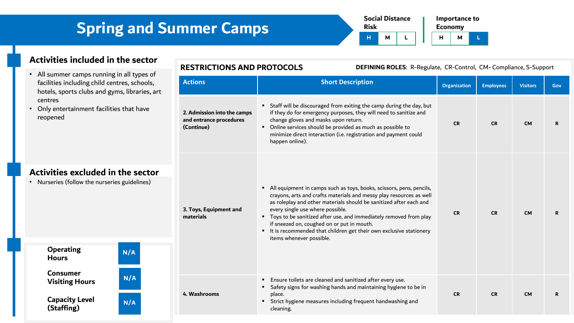**Social Distance Risk Importance to Economy H M L H M L**

### **Activities included in the sector**

- All summer camps running in all types of facilities including child centres hotels, sports clubs and gyms, centres
- Only entertainment facilities th reopened

| facilities including child centres, schools,<br>hotels, sports clubs and gyms, libraries, art<br>centres<br>• Only entertainment facilities that have<br>reopened |     | <b>Actions</b>                                                       | <b>Short Description</b>                                                                                                                                                                                                                                                                                                                                                                                                                                                       | <b>Organization</b> | <b>Employees</b> | <b>Visitors</b> | Gov |
|-------------------------------------------------------------------------------------------------------------------------------------------------------------------|-----|----------------------------------------------------------------------|--------------------------------------------------------------------------------------------------------------------------------------------------------------------------------------------------------------------------------------------------------------------------------------------------------------------------------------------------------------------------------------------------------------------------------------------------------------------------------|---------------------|------------------|-----------------|-----|
|                                                                                                                                                                   |     | 2. Admission into the camps<br>and entrance procedures<br>(Continue) | " Staff will be discouraged from exiting the camp during the day, but<br>if they do for emergency purposes, they will need to sanitize and<br>change gloves and masks upon return.<br>• Online services should be provided as much as possible to<br>minimize direct interaction (i.e. registration and payment could<br>happen online).                                                                                                                                       | <b>CR</b>           | <b>CR</b>        | <b>CM</b>       | R   |
| Activities excluded in the sector<br>• Nurseries (follow the nurseries guidelines)                                                                                |     | 3. Toys, Equipment and<br>materials                                  | All equipment in camps such as toys, books, scissors, pens, pencils,<br>crayons, arts and crafts materials and messy play resources as well<br>as roleplay and other materials should be sanitized after each and<br>every single use where possible.<br>" Toys to be sanitized after use, and immediately removed from play<br>if sneezed on, coughed on or put in mouth.<br>" It is recommended that children get their own exclusive stationery<br>items whenever possible. | <b>CR</b>           | <b>CR</b>        | <b>CM</b>       | R.  |
| <b>Operating</b><br><b>Hours</b>                                                                                                                                  | N/A |                                                                      |                                                                                                                                                                                                                                                                                                                                                                                                                                                                                |                     |                  |                 |     |
| <b>Consumer</b><br><b>Visiting Hours</b>                                                                                                                          | N/A | 4. Washrooms                                                         | " Ensure toilets are cleaned and sanitized after every use.<br>" Safety signs for washing hands and maintaining hygiene to be in<br>place.<br>" Strict hygiene measures including frequent handwashing and<br>cleaning.                                                                                                                                                                                                                                                        | CR                  | <b>CR</b>        | <b>CM</b>       | R   |
| <b>Capacity Level</b><br>(Staffing)                                                                                                                               | N/A |                                                                      |                                                                                                                                                                                                                                                                                                                                                                                                                                                                                |                     |                  |                 |     |

### **RESTRICTIONS AND PROTOCOLS DEFINING ROLES**: R-Regulate, CR-Control, CM- Compliance, S-Support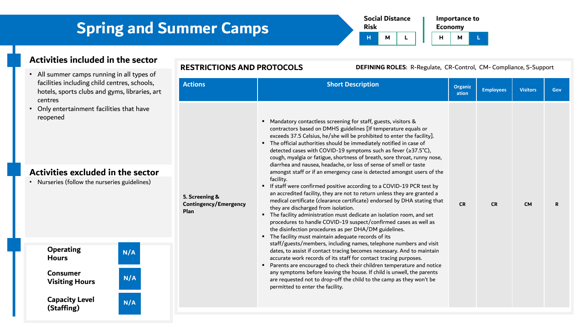| <b>Risk</b> | <b>Social Distance</b> |  | <b>Economy</b> | Importance to |  |  |
|-------------|------------------------|--|----------------|---------------|--|--|
|             | м                      |  | н              | м             |  |  |

### **Activities included in the sector**

- All summer camps running in all types of facilities including child centres, schools, hotels, sports clubs and gyms, libraries, art centres
- Only entertainment facilities that have reopened

### **Activities excluded in the sector**

• Nurseries (follow the nurseries guidelines)

#### **Actions Short Description CONSIDERED Actions Short Description ation Employees Visitors Gov 5. Screening & Contingency/Emergency Plan** ■ Mandatory contactless screening for staff, guests, visitors & contractors based on DMHS guidelines [If temperature equals or exceeds 37.5 Celsius, he/she will be prohibited to enter the facility]. ▪ The official authorities should be immediately notified in case of detected cases with COVID-19 symptoms such as fever (≥37.5˚C), cough, myalgia or fatigue, shortness of breath, sore throat, runny nose, diarrhea and nausea, headache, or loss of sense of smell or taste amongst staff or if an emergency case is detected amongst users of the facility. ■ If staff were confirmed positive according to a COVID-19 PCR test by an accredited facility, they are not to return unless they are granted a medical certificate (clearance certificate) endorsed by DHA stating that they are discharged from isolation. ▪ The facility administration must dedicate an isolation room, and set procedures to handle COVID-19 suspect/confirmed cases as well as the disinfection procedures as per DHA/DM guidelines. ■ The facility must maintain adequate records of its **CR CR CM R**

- staff/guests/members, including names, telephone numbers and visit dates, to assist if contact tracing becomes necessary. And to maintain accurate work records of its staff for contact tracing purposes.
- Parents are encouraged to check their children temperature and notice any symptoms before leaving the house. If child is unwell, the parents are requested not to drop-off the child to the camp as they won't be permitted to enter the facility.

### **Operating Hours**

**Consumer Visiting Hours N/A**

**Capacity Level (Staffing)**



**N/A**

#### **RESTRICTIONS AND PROTOCOLS DEFINING ROLES**: R-Regulate, CR-Control, CM- Compliance, S-Support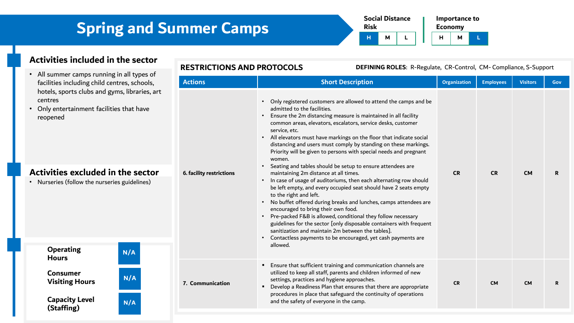**Social Distance Risk Importance to Economy H M L H M L**

### **Activities included in the sector**

- All summer camps running in all types of facilities including child centres, sch hotels, sports clubs and gyms, librar centres
- Only entertainment facilities that ha reopened

### **Activities excluded in the set**

• Nurseries (follow the nurseries guideling

**Visiting Hours N/A**

**N/A**

**N/A**

**Capacity Level (Staffing)**

**Operating Hours**

**Consumer** 

#### **RESTRICTIONS AND PROTOCOLS DEFINING ROLES**: R-Regulate, CR-Control, CM- Compliance, S-Support

| pes ot<br>iools,   | <b>Actions</b>           | <b>Short Description</b>                                                                                                                                                                                                                                                                                                                                                                                                                                                                                                                                                                                                                                                                                                                                                                                                                                                                                                                                                                                                                                                                                                                                                                                                | <b>Organization</b> | <b>Employees</b> | <b>Visitors</b> | Gov |
|--------------------|--------------------------|-------------------------------------------------------------------------------------------------------------------------------------------------------------------------------------------------------------------------------------------------------------------------------------------------------------------------------------------------------------------------------------------------------------------------------------------------------------------------------------------------------------------------------------------------------------------------------------------------------------------------------------------------------------------------------------------------------------------------------------------------------------------------------------------------------------------------------------------------------------------------------------------------------------------------------------------------------------------------------------------------------------------------------------------------------------------------------------------------------------------------------------------------------------------------------------------------------------------------|---------------------|------------------|-----------------|-----|
| ries, art<br>ector | 6. facility restrictions | Only registered customers are allowed to attend the camps and be<br>admitted to the facilities.<br>Ensure the 2m distancing measure is maintained in all facility<br>$\bullet$<br>common areas, elevators, escalators, service desks, customer<br>service, etc.<br>All elevators must have markings on the floor that indicate social<br>$\bullet$<br>distancing and users must comply by standing on these markings.<br>Priority will be given to persons with special needs and pregnant<br>women.<br>Seating and tables should be setup to ensure attendees are<br>$\bullet$<br>maintaining 2m distance at all times.<br>In case of usage of auditoriums, then each alternating row should<br>$\bullet$<br>be left empty, and every occupied seat should have 2 seats empty<br>to the right and left.<br>No buffet offered during breaks and lunches, camps attendees are<br>$\bullet$<br>encouraged to bring their own food.<br>• Pre-packed F&B is allowed, conditional they follow necessary<br>guidelines for the sector [only disposable containers with frequent<br>sanitization and maintain 2m between the tables].<br>Contactless payments to be encouraged, yet cash payments are<br>$\bullet$<br>allowed. | <b>CR</b>           | <b>CR</b>        | <b>CM</b>       | R   |
|                    | 7. Communication         | " Ensure that sufficient training and communication channels are<br>utilized to keep all staff, parents and children informed of new<br>settings, practices and hygiene approaches.<br>Develop a Readiness Plan that ensures that there are appropriate<br>٠<br>procedures in place that safeguard the continuity of operations<br>and the safety of everyone in the camp.                                                                                                                                                                                                                                                                                                                                                                                                                                                                                                                                                                                                                                                                                                                                                                                                                                              | <b>CR</b>           | <b>CM</b>        | <b>CM</b>       | R   |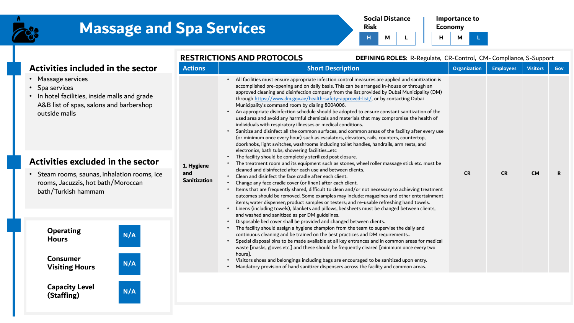



#### **Activities included in the sector Activities excluded in the sector RESTRICTIONS AND PROTOCOLS DEFINING ROLES**: R-Regulate, CR-Control, CM- Compliance, S-Support **Actions Short Description Consumer System Employees Visitors Gov 1. Hygiene and Sanitization** • All facilities must ensure appropriate infection control measures are applied and sanitization is accomplished pre-opening and on daily basis. This can be arranged in-house or through an approved cleaning and disinfection company from the list provided by Dubai Municipality (DM) through <https://www.dm.gov.ae/health-safety-approved-list/>, or by contacting Dubai Municipality's command room by dialing 8004006. • An appropriate disinfection schedule should be adopted to ensure constant sanitization of the used area and avoid any harmful chemicals and materials that may compromise the health of individuals with respiratory illnesses or medical conditions. • Sanitize and disinfect all the common surfaces, and common areas of the facility after every use (or minimum once every hour) such as escalators, elevators, rails, counters, countertop, doorknobs, light switches, washrooms including toilet handles, handrails, arm rests, and electronics, bath tubs, showering facilities…etc The facility should be completely sterilized post closure. • The treatment room and its equipment such as stones, wheel roller massage stick etc. must be cleaned and disinfected after each use and between clients. • Clean and disinfect the face cradle after each client. • Change any face cradle cover (or linen) after each client. • Items that are frequently shared, difficult to clean and/or not necessary to achieving treatment outcomes should be removed. Some examples may include: magazines and other entertainment items; water dispenser; product samples or testers; and re-usable refreshing hand towels. • Linens (including towels), blankets and pillows, bedsheets must be changed between clients, and washed and sanitized as per DM guidelines. • Disposable bed cover shall be provided and changed between clients. • The facility should assign a hygiene champion from the team to supervise the daily and continuous cleaning and be trained on the best practices and DM requirements.. • Special disposal bins to be made available at all key entrances and in common areas for medical waste [masks, gloves etc.] and these should be frequently cleared [minimum once every two hours]. • Visitors shoes and belongings including bags are encouraged to be sanitized upon entry. • Mandatory provision of hand sanitizer dispensers across the facility and common areas. **CR CR CM R Operating Hours Consumer Visiting Hours N/A N/A** • Steam rooms, saunas, inhalation rooms, ice rooms, Jacuzzis, hot bath/Moroccan bath/Turkish hammam • Massage services • Spa services • In hotel facilities, inside malls and grade A&B list of spas, salons and barbershop outside malls

**Capacity Level (Staffing)**

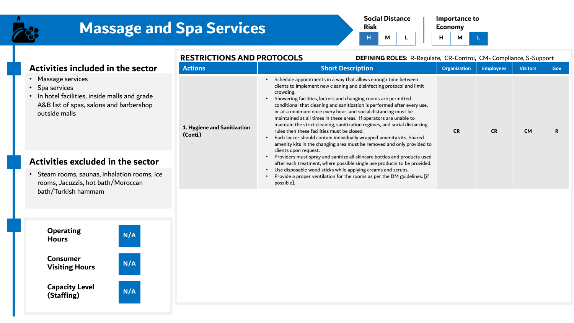



**Economy H M L**

#### **RESTRICTIONS AND PROTOCOLS DEFINING ROLES**: R-Regulate, CR-Control, CM- Compliance, S-Support

| Activities included in the sector                                                                                                                 | <b>Actions</b>                          | <b>Short Description</b>                                                                                                                                                                                                                                                                                                                                                                                                                                                                                                                                                                                                                                                                                                 | Organization | <b>Employees</b> | <b>Visitors</b> | Gov |
|---------------------------------------------------------------------------------------------------------------------------------------------------|-----------------------------------------|--------------------------------------------------------------------------------------------------------------------------------------------------------------------------------------------------------------------------------------------------------------------------------------------------------------------------------------------------------------------------------------------------------------------------------------------------------------------------------------------------------------------------------------------------------------------------------------------------------------------------------------------------------------------------------------------------------------------------|--------------|------------------|-----------------|-----|
| • Massage services<br>• Spa services<br>• In hotel facilities, inside malls and grade<br>A&B list of spas, salons and barbershop<br>outside malls | 1. Hygiene and Sanitization<br>(Conti.) | Schedule appointments in a way that allows enough time between<br>clients to implement new cleaning and disinfecting protocol and limit<br>crowding.<br>Showering facilities, lockers and changing rooms are permitted<br>conditional that cleaning and sanitization is performed after every use,<br>or at a minimum once every hour, and social distancing must be<br>maintained at all times in these areas. If operators are unable to<br>maintain the strict cleaning, sanitization regimes, and social distancing<br>rules then these facilities must be closed.<br>Each locker should contain individually wrapped amenity kits. Shared<br>amenity kits in the changing area must be removed and only provided to | <b>CR</b>    | <b>CR</b>        | <b>CM</b>       | R   |
| Activities excluded in the sector                                                                                                                 |                                         | clients upon request.<br>Providers must spray and sanitize all skincare bottles and products used<br>after each treatment, where possible single use products to be provided.                                                                                                                                                                                                                                                                                                                                                                                                                                                                                                                                            |              |                  |                 |     |
| • Steam rooms, saunas, inhalation rooms, ice<br>rooms, Jacuzzis, hot bath/Moroccan                                                                |                                         | Use disposable wood sticks while applying creams and scrubs.<br>Provide a proper ventilation for the rooms as per the DM guidelines. [if<br>possible].                                                                                                                                                                                                                                                                                                                                                                                                                                                                                                                                                                   |              |                  |                 |     |



bath/Turkish hammam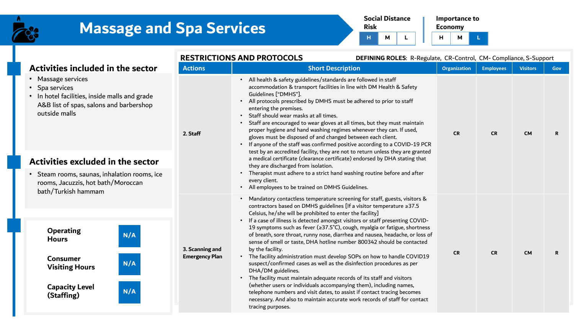



**H M L**

|                                                                                                                                                   | <b>RESTRICTIONS AND PROTOCOLS</b><br>DEFINING ROLES: R-Regulate, CR-Control, CM-Compliance, S-Support                                                                                                                                                              |                                                                                                                                                                                                                                                                                                                                                                                                                                                                                                                                                                                                                                                                                                                                                                                                                                                                                                                                                                                                                                                                      |                     |                  |                 |     |  |  |
|---------------------------------------------------------------------------------------------------------------------------------------------------|--------------------------------------------------------------------------------------------------------------------------------------------------------------------------------------------------------------------------------------------------------------------|----------------------------------------------------------------------------------------------------------------------------------------------------------------------------------------------------------------------------------------------------------------------------------------------------------------------------------------------------------------------------------------------------------------------------------------------------------------------------------------------------------------------------------------------------------------------------------------------------------------------------------------------------------------------------------------------------------------------------------------------------------------------------------------------------------------------------------------------------------------------------------------------------------------------------------------------------------------------------------------------------------------------------------------------------------------------|---------------------|------------------|-----------------|-----|--|--|
| Activities included in the sector                                                                                                                 | <b>Actions</b>                                                                                                                                                                                                                                                     | <b>Short Description</b>                                                                                                                                                                                                                                                                                                                                                                                                                                                                                                                                                                                                                                                                                                                                                                                                                                                                                                                                                                                                                                             | <b>Organization</b> | <b>Employees</b> | <b>Visitors</b> | Gov |  |  |
| • Massage services<br>• Spa services<br>• In hotel facilities, inside malls and grade<br>A&B list of spas, salons and barbershop<br>outside malls | 2. Staff                                                                                                                                                                                                                                                           | • All health & safety guidelines/standards are followed in staff<br>accommodation & transport facilities in line with DM Health & Safety<br>Guidelines ["DMHS"].<br>All protocols prescribed by DMHS must be adhered to prior to staff<br>entering the premises.<br>Staff should wear masks at all times.<br>Staff are encouraged to wear gloves at all times, but they must maintain<br>proper hygiene and hand washing regimes whenever they can. If used,<br>gloves must be disposed of and changed between each client.<br>• If anyone of the staff was confirmed positive according to a COVID-19 PCR<br>test by an accredited facility, they are not to return unless they are granted                                                                                                                                                                                                                                                                                                                                                                         | <b>CR</b>           | <b>CR</b>        | <b>CM</b>       | R   |  |  |
| Activities excluded in the sector                                                                                                                 | a medical certificate (clearance certificate) endorsed by DHA stating that<br>they are discharged from isolation.<br>Therapist must adhere to a strict hand washing routine before and after<br>every client.<br>• All employees to be trained on DMHS Guidelines. |                                                                                                                                                                                                                                                                                                                                                                                                                                                                                                                                                                                                                                                                                                                                                                                                                                                                                                                                                                                                                                                                      |                     |                  |                 |     |  |  |
| • Steam rooms, saunas, inhalation rooms, ice<br>rooms, Jacuzzis, hot bath/Moroccan<br>bath/Turkish hammam                                         |                                                                                                                                                                                                                                                                    |                                                                                                                                                                                                                                                                                                                                                                                                                                                                                                                                                                                                                                                                                                                                                                                                                                                                                                                                                                                                                                                                      |                     |                  |                 |     |  |  |
| <b>Operating</b><br>N/A<br><b>Hours</b><br><b>Consumer</b><br>N/A<br><b>Visiting Hours</b><br><b>Capacity Level</b><br>N/A<br>(Staffing)          | 3. Scanning and<br><b>Emergency Plan</b>                                                                                                                                                                                                                           | Mandatory contactless temperature screening for staff, guests, visitors &<br>contractors based on DMHS guidelines [If a visitor temperature ≥37.5<br>Celsius, he/she will be prohibited to enter the facility]<br>• If a case of illness is detected amongst visitors or staff presenting COVID-<br>19 symptoms such as fever (≥37.5°C), cough, myalgia or fatigue, shortness<br>of breath, sore throat, runny nose, diarrhea and nausea, headache, or loss of<br>sense of smell or taste, DHA hotline number 800342 should be contacted<br>by the facility.<br>• The facility administration must develop SOPs on how to handle COVID19<br>suspect/confirmed cases as well as the disinfection procedures as per<br>DHA/DM guidelines.<br>The facility must maintain adequate records of its staff and visitors<br>(whether users or individuals accompanying them), including names,<br>telephone numbers and visit dates, to assist if contact tracing becomes<br>necessary. And also to maintain accurate work records of staff for contact<br>tracing purposes. | <b>CR</b>           | <b>CR</b>        | <b>CM</b>       | R   |  |  |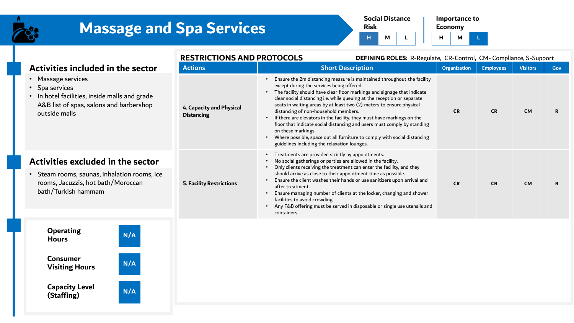



**Economy H M L**

|                                                                                                                                                   | <b>RESTRICTIONS AND PROTOCOLS</b>             | <b>DEFINING ROLES: R-Regulate, CR-Control, CM- Compliance, S-Support</b>                                                                                                                                                                                                                                                                                                                                                                                                                                                                                                                                                                                                                         |              |                  |                 |            |
|---------------------------------------------------------------------------------------------------------------------------------------------------|-----------------------------------------------|--------------------------------------------------------------------------------------------------------------------------------------------------------------------------------------------------------------------------------------------------------------------------------------------------------------------------------------------------------------------------------------------------------------------------------------------------------------------------------------------------------------------------------------------------------------------------------------------------------------------------------------------------------------------------------------------------|--------------|------------------|-----------------|------------|
| Activities included in the sector                                                                                                                 | <b>Actions</b>                                | <b>Short Description</b>                                                                                                                                                                                                                                                                                                                                                                                                                                                                                                                                                                                                                                                                         | Organization | <b>Employees</b> | <b>Visitors</b> | <b>Gov</b> |
| • Massage services<br>• Spa services<br>• In hotel facilities, inside malls and grade<br>A&B list of spas, salons and barbershop<br>outside malls | 4. Capacity and Physical<br><b>Distancing</b> | Ensure the 2m distancing measure is maintained throughout the facility<br>except during the services being offered.<br>The facility should have clear floor markings and signage that indicate<br>clear social distancing i.e. while queuing at the reception or separate<br>seats in waiting areas by at least two (2) meters to ensure physical<br>distancing of non-household members.<br>If there are elevators in the facility, they must have markings on the<br>floor that indicate social distancing and users must comply by standing<br>on these markings.<br>Where possible, space out all furniture to comply with social distancing<br>guidelines including the relaxation lounges. | <b>CR</b>    | <b>CR</b>        | <b>CM</b>       | R.         |
| Activities excluded in the sector                                                                                                                 |                                               | Treatments are provided strictly by appointments.<br>No social gatherings or parties are allowed in the facility.<br>Only clients receiving the treatment can enter the facility, and they                                                                                                                                                                                                                                                                                                                                                                                                                                                                                                       |              |                  |                 |            |
| • Steam rooms, saunas, inhalation rooms, ice<br>rooms, Jacuzzis, hot bath/Moroccan<br>bath/Turkish hammam                                         | <b>5. Facility Restrictions</b>               | should arrive as close to their appointment time as possible.<br>Ensure the client washes their hands or use sanitizers upon arrival and<br>after treatment.<br>Ensure managing number of clients at the locker, changing and shower<br>facilities to avoid crowding.<br>Any F&B offering must be served in disposable or single use utensils and<br>containers.                                                                                                                                                                                                                                                                                                                                 | <b>CR</b>    | <b>CR</b>        | <b>CM</b>       | R          |

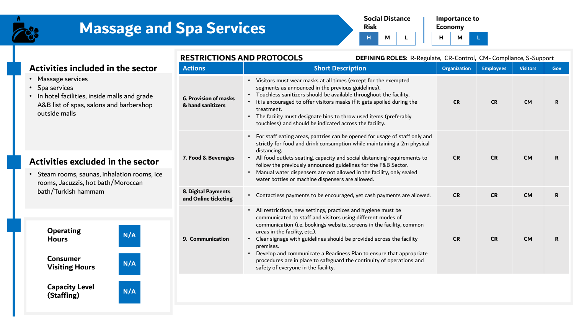

**(Staffing)**

**N/A**

# **Massage and Spa Services**



**H M L**

|                                                                                                                                             |             | <b>RESTRICTIONS AND PROTOCOLS</b><br><b>DEFINING ROLES: R-Regulate, CR-Control, CM- Compliance, S-Support</b> |                                                                                                                                                                                                                                                                                                                                            |                                                                                                                                                                                                                                                                                                           |                     |                  |                 |             |
|---------------------------------------------------------------------------------------------------------------------------------------------|-------------|---------------------------------------------------------------------------------------------------------------|--------------------------------------------------------------------------------------------------------------------------------------------------------------------------------------------------------------------------------------------------------------------------------------------------------------------------------------------|-----------------------------------------------------------------------------------------------------------------------------------------------------------------------------------------------------------------------------------------------------------------------------------------------------------|---------------------|------------------|-----------------|-------------|
| Activities included in the sector                                                                                                           |             | <b>Actions</b>                                                                                                |                                                                                                                                                                                                                                                                                                                                            | <b>Short Description</b>                                                                                                                                                                                                                                                                                  | <b>Organization</b> | <b>Employees</b> | <b>Visitors</b> | <b>Gov</b>  |
| Massage services<br>Spa services<br>In hotel facilities, inside malls and grade<br>A&B list of spas, salons and barbershop<br>outside malls |             | 6. Provision of masks<br>& hand sanitizers                                                                    | • Visitors must wear masks at all times (except for the exempted<br>segments as announced in the previous guidelines).<br>Touchless sanitizers should be available throughout the facility.<br>treatment.<br>• The facility must designate bins to throw used items (preferably<br>touchless) and should be indicated across the facility. | It is encouraged to offer visitors masks if it gets spoiled during the                                                                                                                                                                                                                                    | <b>CR</b>           | <b>CR</b>        | <b>CM</b>       | $\mathbf R$ |
| Activities excluded in the sector<br>Steam rooms, saunas, inhalation rooms, ice<br>rooms, Jacuzzis, hot bath/Moroccan                       |             | 7. Food & Beverages                                                                                           | $\bullet$<br>distancing.<br>$\bullet$<br>follow the previously announced guidelines for the F&B Sector.<br>$\bullet$<br>water bottles or machine dispensers are allowed.                                                                                                                                                                   | For staff eating areas, pantries can be opened for usage of staff only and<br>strictly for food and drink consumption while maintaining a 2m physical<br>All food outlets seating, capacity and social distancing requirements to<br>Manual water dispensers are not allowed in the facility, only sealed | <b>CR</b>           | <b>CR</b>        | <b>CM</b>       | R           |
| bath/Turkish hammam                                                                                                                         |             | 8. Digital Payments<br>and Online ticketing                                                                   |                                                                                                                                                                                                                                                                                                                                            | • Contactless payments to be encouraged, yet cash payments are allowed.                                                                                                                                                                                                                                   | <b>CR</b>           | <b>CR</b>        | <b>CM</b>       | R           |
| <b>Operating</b><br><b>Hours</b><br><b>Consumer</b><br><b>Visiting Hours</b>                                                                | N/A<br>N/A  | 9. Communication                                                                                              | • All restrictions, new settings, practices and hygiene must be<br>communicated to staff and visitors using different modes of<br>areas in the facility, etc.).<br>$\bullet$<br>premises.<br>$\bullet$<br>safety of everyone in the facility.                                                                                              | communication (i.e. bookings website, screens in the facility, common<br>Clear signage with guidelines should be provided across the facility<br>Develop and communicate a Readiness Plan to ensure that appropriate<br>procedures are in place to safeguard the continuity of operations and             | <b>CR</b>           | <b>CR</b>        | <b>CM</b>       | R.          |
| <b>Capacity Level</b>                                                                                                                       | <b>ALLA</b> |                                                                                                               |                                                                                                                                                                                                                                                                                                                                            |                                                                                                                                                                                                                                                                                                           |                     |                  |                 |             |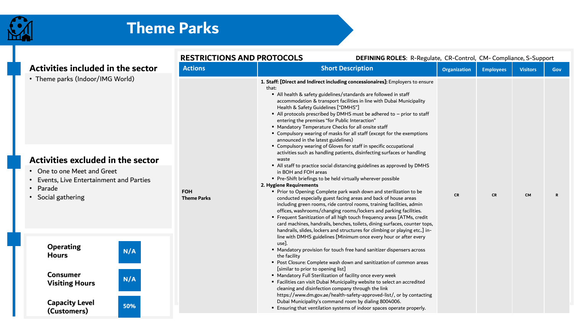

|                                                                                                      | <b>RESTRICTIONS AND PROTOCOLS</b> | DEFINING ROLES: R-Regulate, CR-Control, CM-Compliance, S-Support                                                                                                                                                                                                                                                                                                                                                                                                                                                                                                                                                                                                                                                                                                                                              |              |                  |                 |             |  |
|------------------------------------------------------------------------------------------------------|-----------------------------------|---------------------------------------------------------------------------------------------------------------------------------------------------------------------------------------------------------------------------------------------------------------------------------------------------------------------------------------------------------------------------------------------------------------------------------------------------------------------------------------------------------------------------------------------------------------------------------------------------------------------------------------------------------------------------------------------------------------------------------------------------------------------------------------------------------------|--------------|------------------|-----------------|-------------|--|
| Activities included in the sector                                                                    | <b>Actions</b>                    | <b>Short Description</b>                                                                                                                                                                                                                                                                                                                                                                                                                                                                                                                                                                                                                                                                                                                                                                                      | Organization | <b>Employees</b> | <b>Visitors</b> | <b>Gov</b>  |  |
| • Theme parks (Indoor/IMG World)<br>Activities excluded in the sector<br>• One to one Meet and Greet |                                   | 1. Staff: [Direct and Indirect including concessionaires]: Employers to ensure<br>that:<br>All health & safety guidelines/standards are followed in staff<br>accommodation & transport facilities in line with Dubai Municipality<br>Health & Safety Guidelines ["DMHS"]<br>All protocols prescribed by DMHS must be adhered to - prior to staff<br>entering the premises "for Public Interaction"<br>" Mandatory Temperature Checks for all onsite staff<br>" Compulsory wearing of masks for all staff (except for the exemptions<br>announced in the latest guidelines)<br>" Compulsory wearing of Gloves for staff in specific occupational<br>activities such as handling patients, disinfecting surfaces or handling<br>waste<br>All staff to practice social distancing guidelines as approved by DMHS |              |                  |                 |             |  |
| • Events, Live Entertainment and Parties                                                             |                                   | in BOH and FOH areas<br>Pre-Shift briefings to be held virtually wherever possible                                                                                                                                                                                                                                                                                                                                                                                                                                                                                                                                                                                                                                                                                                                            |              |                  |                 |             |  |
| • Parade                                                                                             |                                   | 2. Hygiene Requirements                                                                                                                                                                                                                                                                                                                                                                                                                                                                                                                                                                                                                                                                                                                                                                                       |              |                  |                 |             |  |
| • Social gathering                                                                                   | <b>FOH</b><br><b>Theme Parks</b>  | " Prior to Opening: Complete park wash down and sterilization to be<br>conducted especially guest facing areas and back of house areas<br>including green rooms, ride control rooms, training facilities, admin<br>offices, washrooms/changing rooms/lockers and parking facilities.<br>" Frequent Sanitization of all high touch frequency areas [ATMs, credit<br>card machines, handrails, benches, toilets, dining surfaces, counter tops,<br>handrails, slides, lockers and structures for climbing or playing etc] in-<br>line with DMHS guidelines [Minimum once every hour or after every                                                                                                                                                                                                              | <b>CR</b>    | <b>CR</b>        | <b>CM</b>       | $\mathbf R$ |  |
| <b>Operating</b><br>N/A<br><b>Hours</b>                                                              |                                   | use].<br>" Mandatory provision for touch free hand sanitizer dispensers across<br>the facility<br>" Post Closure: Complete wash down and sanitization of common areas                                                                                                                                                                                                                                                                                                                                                                                                                                                                                                                                                                                                                                         |              |                  |                 |             |  |
| <b>Consumer</b><br>N/A<br><b>Visiting Hours</b>                                                      |                                   | [similar to prior to opening list]<br>" Mandatory Full Sterilization of facility once every week<br>" Facilities can visit Dubai Municipality website to select an accredited<br>cleaning and disinfection company through the link<br>https://www.dm.gov.ae/health-safety-approved-list/, or by contacting                                                                                                                                                                                                                                                                                                                                                                                                                                                                                                   |              |                  |                 |             |  |
| <b>Capacity Level</b><br>50%<br>(Customers)                                                          |                                   | Dubai Municipality's command room by dialing 8004006.<br>" Ensuring that ventilation systems of indoor spaces operate properly.                                                                                                                                                                                                                                                                                                                                                                                                                                                                                                                                                                                                                                                                               |              |                  |                 |             |  |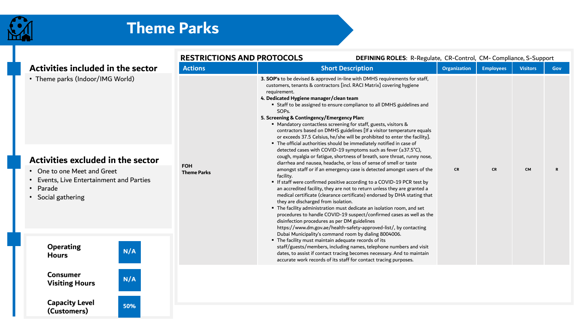

**(Customers)**

**50%**

|                                                                                                                                                                            |                                  | <b>RESTRICTIONS AND PROTOCOLS</b>                                                                                                                                                                                                                                                                                                                                                                                                                                                                                                                                                                                                                                                                                                                                                                                                                                                                                                                                                                                                                                                                                                                                                                                                                                                                                                                                                                                                                                                                                        | DEFINING ROLES: R-Regulate, CR-Control, CM-Compliance, S-Support |                  |                 |     |  |
|----------------------------------------------------------------------------------------------------------------------------------------------------------------------------|----------------------------------|--------------------------------------------------------------------------------------------------------------------------------------------------------------------------------------------------------------------------------------------------------------------------------------------------------------------------------------------------------------------------------------------------------------------------------------------------------------------------------------------------------------------------------------------------------------------------------------------------------------------------------------------------------------------------------------------------------------------------------------------------------------------------------------------------------------------------------------------------------------------------------------------------------------------------------------------------------------------------------------------------------------------------------------------------------------------------------------------------------------------------------------------------------------------------------------------------------------------------------------------------------------------------------------------------------------------------------------------------------------------------------------------------------------------------------------------------------------------------------------------------------------------------|------------------------------------------------------------------|------------------|-----------------|-----|--|
| Activities included in the sector                                                                                                                                          | <b>Actions</b>                   | <b>Short Description</b>                                                                                                                                                                                                                                                                                                                                                                                                                                                                                                                                                                                                                                                                                                                                                                                                                                                                                                                                                                                                                                                                                                                                                                                                                                                                                                                                                                                                                                                                                                 | <b>Organization</b>                                              | <b>Employees</b> | <b>Visitors</b> | Gov |  |
| • Theme parks (Indoor/IMG World)<br>Activities excluded in the sector<br>One to one Meet and Greet<br>Events, Live Entertainment and Parties<br>Parade<br>Social gathering | <b>FOH</b><br><b>Theme Parks</b> | 3. SOP's to be devised & approved in-line with DMHS requirements for staff,<br>customers, tenants & contractors [incl. RACI Matrix] covering hygiene<br>requirement.<br>4. Dedicated Hygiene manager/clean team<br>" Staff to be assigned to ensure compliance to all DMHS guidelines and<br>SOP <sub>s.</sub><br>5. Screening & Contingency/Emergency Plan:<br>■ Mandatory contactless screening for staff, guests, visitors &<br>contractors based on DMHS guidelines [If a visitor temperature equals<br>or exceeds 37.5 Celsius, he/she will be prohibited to enter the facility].<br>" The official authorities should be immediately notified in case of<br>detected cases with COVID-19 symptoms such as fever (≥37.5°C),<br>cough, myalgia or fatigue, shortness of breath, sore throat, runny nose,<br>diarrhea and nausea, headache, or loss of sense of smell or taste<br>amongst staff or if an emergency case is detected amongst users of the<br>facility.<br>" If staff were confirmed positive according to a COVID-19 PCR test by<br>an accredited facility, they are not to return unless they are granted a<br>medical certificate (clearance certificate) endorsed by DHA stating that<br>they are discharged from isolation.<br>" The facility administration must dedicate an isolation room, and set<br>procedures to handle COVID-19 suspect/confirmed cases as well as the<br>disinfection procedures as per DM guidelines<br>https://www.dm.gov.ae/health-safety-approved-list/, by contacting | <b>CR</b>                                                        | <b>CR</b>        | <b>CM</b>       | R   |  |
| <b>Operating</b><br>N/A<br><b>Hours</b>                                                                                                                                    |                                  | Dubai Municipality's command room by dialing 8004006.<br>" The facility must maintain adequate records of its<br>staff/guests/members, including names, telephone numbers and visit<br>dates, to assist if contact tracing becomes necessary. And to maintain<br>accurate work records of its staff for contact tracing purposes.                                                                                                                                                                                                                                                                                                                                                                                                                                                                                                                                                                                                                                                                                                                                                                                                                                                                                                                                                                                                                                                                                                                                                                                        |                                                                  |                  |                 |     |  |
| <b>Consumer</b><br>N/A<br><b>Visiting Hours</b>                                                                                                                            |                                  |                                                                                                                                                                                                                                                                                                                                                                                                                                                                                                                                                                                                                                                                                                                                                                                                                                                                                                                                                                                                                                                                                                                                                                                                                                                                                                                                                                                                                                                                                                                          |                                                                  |                  |                 |     |  |
| <b>Capacity Level</b><br><b>ENOL</b>                                                                                                                                       |                                  |                                                                                                                                                                                                                                                                                                                                                                                                                                                                                                                                                                                                                                                                                                                                                                                                                                                                                                                                                                                                                                                                                                                                                                                                                                                                                                                                                                                                                                                                                                                          |                                                                  |                  |                 |     |  |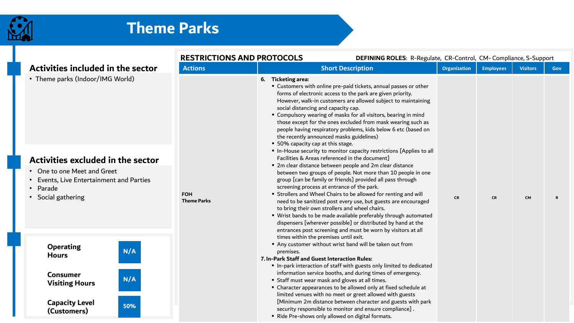

|                                                                                                                                                                                         | <b>RESTRICTIONS AND PROTOCOLS</b> |                                                                                                | DEFINING ROLES: R-Regulate, CR-Control, CM-Compliance, S-Support                                                                                                                                                                                                                                                                                                                                                                                                                                                                                                                                                                                                                                                                                                                                                                                                                                                                                                                                                                                                                                                                                                                                           |                     |                  |                 |     |
|-----------------------------------------------------------------------------------------------------------------------------------------------------------------------------------------|-----------------------------------|------------------------------------------------------------------------------------------------|------------------------------------------------------------------------------------------------------------------------------------------------------------------------------------------------------------------------------------------------------------------------------------------------------------------------------------------------------------------------------------------------------------------------------------------------------------------------------------------------------------------------------------------------------------------------------------------------------------------------------------------------------------------------------------------------------------------------------------------------------------------------------------------------------------------------------------------------------------------------------------------------------------------------------------------------------------------------------------------------------------------------------------------------------------------------------------------------------------------------------------------------------------------------------------------------------------|---------------------|------------------|-----------------|-----|
| Activities included in the sector                                                                                                                                                       | <b>Actions</b>                    |                                                                                                | <b>Short Description</b>                                                                                                                                                                                                                                                                                                                                                                                                                                                                                                                                                                                                                                                                                                                                                                                                                                                                                                                                                                                                                                                                                                                                                                                   | <b>Organization</b> | <b>Employees</b> | <b>Visitors</b> | Gov |
| • Theme parks (Indoor/IMG World)<br>Activities excluded in the sector<br>One to one Meet and Greet<br>Events, Live Entertainment and Parties<br>Parade<br>$\bullet$<br>Social gathering | <b>FOH</b><br><b>Theme Parks</b>  | 6. Ticketing area:<br>social distancing and capacity cap.<br>• 50% capacity cap at this stage. | " Customers with online pre-paid tickets, annual passes or other<br>forms of electronic access to the park are given priority.<br>However, walk-in customers are allowed subject to maintaining<br>" Compulsory wearing of masks for all visitors, bearing in mind<br>those except for the ones excluded from mask wearing such as<br>people having respiratory problems, kids below 6 etc (based on<br>the recently announced masks guidelines)<br>In-House security to monitor capacity restrictions [Applies to all<br>Facilities & Areas referenced in the document]<br>" 2m clear distance between people and 2m clear distance<br>between two groups of people. Not more than 10 people in one<br>group [can be family or friends] provided all pass through<br>screening process at entrance of the park.<br>" Strollers and Wheel Chairs to be allowed for renting and will<br>need to be sanitized post every use, but guests are encouraged<br>to bring their own strollers and wheel chairs.<br>" Wrist bands to be made available preferably through automated<br>dispensers [wherever possible] or distributed by hand at the<br>entrances post screening and must be worn by visitors at all | <b>CR</b>           | <b>CR</b>        | <b>CM</b>       |     |
| <b>Operating</b><br>N/A<br><b>Hours</b>                                                                                                                                                 |                                   | premises.<br>7. In-Park Staff and Guest Interaction Rules:                                     | times within the premises until exit.<br>Any customer without wrist band will be taken out from<br>In-park interaction of staff with guests only limited to dedicated                                                                                                                                                                                                                                                                                                                                                                                                                                                                                                                                                                                                                                                                                                                                                                                                                                                                                                                                                                                                                                      |                     |                  |                 |     |
| <b>Consumer</b><br>N/A<br><b>Visiting Hours</b>                                                                                                                                         |                                   |                                                                                                | information service booths, and during times of emergency.<br>" Staff must wear mask and gloves at all times.<br>• Character appearances to be allowed only at fixed schedule at<br>limited venues with no meet or greet allowed with guests                                                                                                                                                                                                                                                                                                                                                                                                                                                                                                                                                                                                                                                                                                                                                                                                                                                                                                                                                               |                     |                  |                 |     |
| <b>Capacity Level</b><br>50%<br>(Customers)                                                                                                                                             |                                   |                                                                                                | [Minimum 2m distance between character and guests with park<br>security responsible to monitor and ensure compliance].<br>" Ride Pre-shows only allowed on digital formats.                                                                                                                                                                                                                                                                                                                                                                                                                                                                                                                                                                                                                                                                                                                                                                                                                                                                                                                                                                                                                                |                     |                  |                 |     |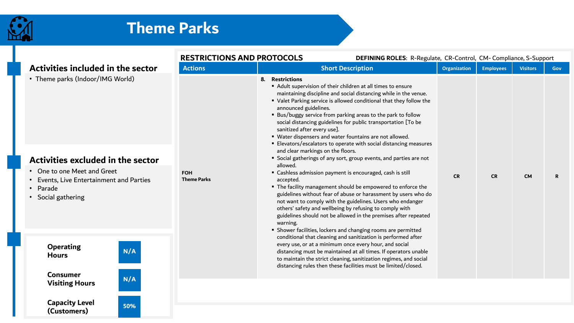

**(Customers)**

|                                                                                                     | <b>RESTRICTIONS AND PROTOCOLS</b> | DEFINING ROLES: R-Regulate, CR-Control, CM-Compliance, S-Support                                                                                                                                                                                                                                                                                                                                                                                                                                                                                                                                                                                                       |                     |                  |                 |            |
|-----------------------------------------------------------------------------------------------------|-----------------------------------|------------------------------------------------------------------------------------------------------------------------------------------------------------------------------------------------------------------------------------------------------------------------------------------------------------------------------------------------------------------------------------------------------------------------------------------------------------------------------------------------------------------------------------------------------------------------------------------------------------------------------------------------------------------------|---------------------|------------------|-----------------|------------|
| Activities included in the sector                                                                   | <b>Actions</b>                    | <b>Short Description</b>                                                                                                                                                                                                                                                                                                                                                                                                                                                                                                                                                                                                                                               | <b>Organization</b> | <b>Employees</b> | <b>Visitors</b> | <b>Gov</b> |
| • Theme parks (Indoor/IMG World)<br>Activities excluded in the sector                               |                                   | 8. Restrictions<br>Adult supervision of their children at all times to ensure<br>maintaining discipline and social distancing while in the venue.<br>" Valet Parking service is allowed conditional that they follow the<br>announced guidelines.<br>" Bus/buggy service from parking areas to the park to follow<br>social distancing guidelines for public transportation [To be<br>sanitized after every use].<br>" Water dispensers and water fountains are not allowed.<br>Elevators/escalators to operate with social distancing measures<br>and clear markings on the floors.<br>" Social gatherings of any sort, group events, and parties are not<br>allowed. |                     |                  |                 |            |
| • One to one Meet and Greet<br>Events, Live Entertainment and Parties<br>Parade<br>Social gathering | <b>FOH</b><br><b>Theme Parks</b>  | • Cashless admission payment is encouraged, cash is still<br>accepted.<br>" The facility management should be empowered to enforce the<br>guidelines without fear of abuse or harassment by users who do<br>not want to comply with the guidelines. Users who endanger<br>others' safety and wellbeing by refusing to comply with<br>guidelines should not be allowed in the premises after repeated<br>warning.<br>" Shower facilities, lockers and changing rooms are permitted                                                                                                                                                                                      | <b>CR</b>           | <b>CR</b>        | <b>CM</b>       | R          |
| <b>Operating</b><br>N/A<br><b>Hours</b><br><b>Consumer</b>                                          |                                   | conditional that cleaning and sanitization is performed after<br>every use, or at a minimum once every hour, and social<br>distancing must be maintained at all times. If operators unable<br>to maintain the strict cleaning, sanitization regimes, and social<br>distancing rules then these facilities must be limited/closed.                                                                                                                                                                                                                                                                                                                                      |                     |                  |                 |            |
| N/A<br><b>Visiting Hours</b><br><b>Capacity Level</b><br>50%                                        |                                   |                                                                                                                                                                                                                                                                                                                                                                                                                                                                                                                                                                                                                                                                        |                     |                  |                 |            |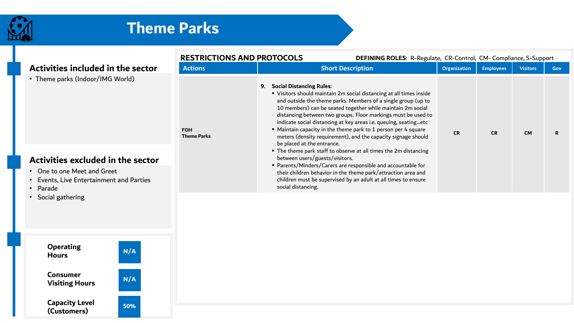

### **Theme Parks**



**Consumer Visiting Hours N/A**

**50%**

**Capacity Level (Customers)**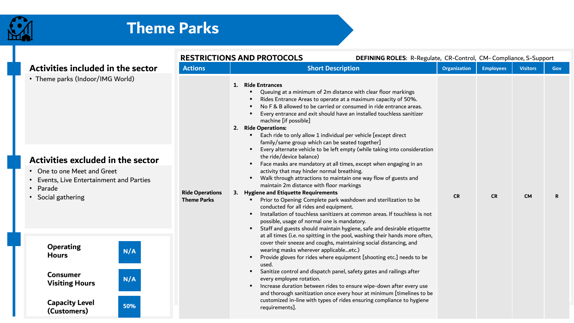

|                                                                                                      |                                              | <b>RESTRICTIONS AND PROTOCOLS</b><br>DEFINING ROLES: R-Regulate, CR-Control, CM-Compliance, S-Support                                                                                                                                                                                                                                                                                                                                                                                                                                                                                                                                                                                               |                     |                  |                 |             |
|------------------------------------------------------------------------------------------------------|----------------------------------------------|-----------------------------------------------------------------------------------------------------------------------------------------------------------------------------------------------------------------------------------------------------------------------------------------------------------------------------------------------------------------------------------------------------------------------------------------------------------------------------------------------------------------------------------------------------------------------------------------------------------------------------------------------------------------------------------------------------|---------------------|------------------|-----------------|-------------|
| Activities included in the sector                                                                    | <b>Actions</b>                               | <b>Short Description</b>                                                                                                                                                                                                                                                                                                                                                                                                                                                                                                                                                                                                                                                                            | <b>Organization</b> | <b>Employees</b> | <b>Visitors</b> | Gov         |
| • Theme parks (Indoor/IMG World)<br>Activities excluded in the sector<br>• One to one Meet and Greet |                                              | 1. Ride Entrances<br>Queuing at a minimum of 2m distance with clear floor markings<br>Rides Entrance Areas to operate at a maximum capacity of 50%.<br>No F & B allowed to be carried or consumed in ride entrance areas.<br>Every entrance and exit should have an installed touchless sanitizer<br>machine [if possible]<br>2. Ride Operations:<br>Each ride to only allow 1 individual per vehicle [except direct<br>family/same group which can be seated together]<br>Every alternate vehicle to be left empty (while taking into consideration<br>the ride/device balance)<br>Face masks are mandatory at all times, except when engaging in an<br>activity that may hinder normal breathing. |                     |                  |                 |             |
| Events, Live Entertainment and Parties                                                               |                                              | Walk through attractions to maintain one way flow of guests and<br>maintain 2m distance with floor markings                                                                                                                                                                                                                                                                                                                                                                                                                                                                                                                                                                                         |                     |                  |                 |             |
| • Parade<br>• Social gathering                                                                       | <b>Ride Operations</b><br><b>Theme Parks</b> | 3. Hygiene and Etiquette Requirements<br>Prior to Opening: Complete park washdown and sterilization to be<br>conducted for all rides and equipment.<br>Installation of touchless sanitizers at common areas. If touchless is not<br>possible, usage of normal one is mandatory.<br>Staff and guests should maintain hygiene, safe and desirable etiquette<br>at all times (i.e. no spitting in the pool, washing their hands more often,                                                                                                                                                                                                                                                            | <b>CR</b>           | <b>CR</b>        | <b>CM</b>       | $\mathbf R$ |
| <b>Operating</b><br>N/A<br><b>Hours</b>                                                              |                                              | cover their sneeze and coughs, maintaining social distancing, and<br>wearing masks wherever applicableetc.)<br>Provide gloves for rides where equipment [shooting etc.] needs to be<br>used.                                                                                                                                                                                                                                                                                                                                                                                                                                                                                                        |                     |                  |                 |             |
| <b>Consumer</b><br>N/A<br><b>Visiting Hours</b>                                                      |                                              | Sanitize control and dispatch panel, safety gates and railings after<br>every employee rotation.<br>Increase duration between rides to ensure wipe-down after every use<br>and thorough sanitization once every hour at minimum [timelines to be                                                                                                                                                                                                                                                                                                                                                                                                                                                    |                     |                  |                 |             |
| <b>Capacity Level</b><br>50%<br>(Customers)                                                          |                                              | customized in-line with types of rides ensuring compliance to hygiene<br>requirements].                                                                                                                                                                                                                                                                                                                                                                                                                                                                                                                                                                                                             |                     |                  |                 |             |